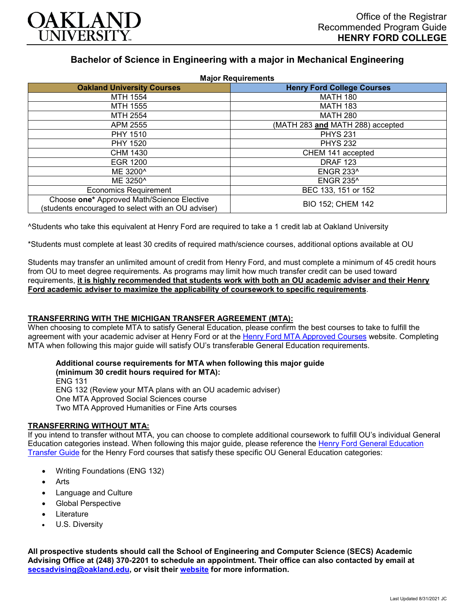

# **Bachelor of Science in Engineering with a major in Mechanical Engineering**

| <b>Major Requirements</b>                                                                        |                                   |
|--------------------------------------------------------------------------------------------------|-----------------------------------|
| <b>Oakland University Courses</b>                                                                | <b>Henry Ford College Courses</b> |
| <b>MTH 1554</b>                                                                                  | <b>MATH 180</b>                   |
| MTH 1555                                                                                         | <b>MATH 183</b>                   |
| MTH 2554                                                                                         | <b>MATH 280</b>                   |
| APM 2555                                                                                         | (MATH 283 and MATH 288) accepted  |
| <b>PHY 1510</b>                                                                                  | <b>PHYS 231</b>                   |
| <b>PHY 1520</b>                                                                                  | <b>PHYS 232</b>                   |
| <b>CHM 1430</b>                                                                                  | CHEM 141 accepted                 |
| <b>EGR 1200</b>                                                                                  | <b>DRAF 123</b>                   |
| ME 3200 <sup>^</sup>                                                                             | <b>ENGR 233^</b>                  |
| ME 3250 <sup>^</sup>                                                                             | <b>ENGR 235^</b>                  |
| <b>Economics Requirement</b>                                                                     | BEC 133, 151 or 152               |
| Choose one* Approved Math/Science Elective<br>(students encouraged to select with an OU adviser) | <b>BIO 152; CHEM 142</b>          |

^Students who take this equivalent at Henry Ford are required to take a 1 credit lab at Oakland University

\*Students must complete at least 30 credits of required math/science courses, additional options available at OU

Students may transfer an unlimited amount of credit from Henry Ford, and must complete a minimum of 45 credit hours from OU to meet degree requirements. As programs may limit how much transfer credit can be used toward requirements, **it is highly recommended that students work with both an OU academic adviser and their Henry Ford academic adviser to maximize the applicability of coursework to specific requirements**.

## **TRANSFERRING WITH THE MICHIGAN TRANSFER AGREEMENT (MTA):**

When choosing to complete MTA to satisfy General Education, please confirm the best courses to take to fulfill the agreement with your academic adviser at Henry Ford or at the [Henry Ford MTA Approved Courses](https://www.hfcc.edu/registration-and-records/mta/hfc-agreement) website. Completing MTA when following this major guide will satisfy OU's transferable General Education requirements.

#### **Additional course requirements for MTA when following this major guide (minimum 30 credit hours required for MTA):**

ENG 131 ENG 132 (Review your MTA plans with an OU academic adviser) One MTA Approved Social Sciences course Two MTA Approved Humanities or Fine Arts courses

## **TRANSFERRING WITHOUT MTA:**

If you intend to transfer without MTA, you can choose to complete additional coursework to fulfill OU's individual General Education categories instead. When following this major guide, please reference the [Henry Ford General Education](https://www.oakland.edu/Assets/Oakland/program-guides/henry-ford-college/university-general-education-requirements/Henry%20Ford%20Gen%20Ed.pdf)  [Transfer Guide](https://www.oakland.edu/Assets/Oakland/program-guides/henry-ford-college/university-general-education-requirements/Henry%20Ford%20Gen%20Ed.pdf) for the Henry Ford courses that satisfy these specific OU General Education categories:

- Writing Foundations (ENG 132)
- **Arts**
- Language and Culture
- Global Perspective
- **Literature**
- U.S. Diversity

**All prospective students should call the School of Engineering and Computer Science (SECS) Academic Advising Office at (248) 370-2201 to schedule an appointment. Their office can also contacted by email at [secsadvising@oakland.edu,](mailto:secsadvising@oakland.edu) or visit their [website](https://wwwp.oakland.edu/secs/advising/) for more information.**